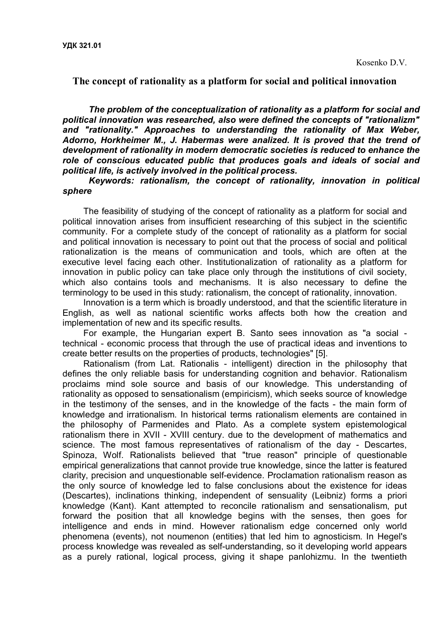**The concept of rationality as a platform for social and political innovation**

*The problem of the conceptualization of rationality as a platform for social and political innovation was researched, also were defined the concepts of "rationalizm" and "rationality." Approaches to understanding the rationality of Max Weber, Adorno, Horkheimer M., J. Habermas were analized. It is proved that the trend of development of rationality in modern democratic societies is reduced to enhance the role of conscious educated public that produces goals and ideals of social and political life, is actively involved in the political process.*

*Keywords: rationalism, the concept of rationality, innovation in political sphere*

The feasibility of studying of the concept of rationality as a platform for social and political innovation arises from insufficient researching of this subject in the scientific community. For a complete study of the concept of rationality as a platform for social and political innovation is necessary to point out that the process of social and political rationalization is the means of communication and tools, which are often at the executive level facing each other. Institutionalization of rationality as a platform for innovation in public policy can take place only through the institutions of civil society, which also contains tools and mechanisms. It is also necessary to define the terminology to be used in this study: rationalism, the concept of rationality, innovation.

Innovation is a term which is broadly understood, and that the scientific literature in English, as well as national scientific works affects both how the creation and implementation of new and its specific results.

For example, the Hungarian expert B. Santo sees innovation as "a social technical - economic process that through the use of practical ideas and inventions to create better results on the properties of products, technologies" [5].

Rationalism (from Lat. Rationalis - intelligent) direction in the philosophy that defines the only reliable basis for understanding cognition and behavior. Rationalism proclaims mind sole source and basis of our knowledge. This understanding of rationality as opposed to sensationalism (empiricism), which seeks source of knowledge in the testimony of the senses, and in the knowledge of the facts - the main form of knowledge and irrationalism. In historical terms rationalism elements are contained in the philosophy of Parmenides and Plato. As a complete system epistemological rationalism there in XVII - XVIII century. due to the development of mathematics and science. The most famous representatives of rationalism of the day - Descartes, Spinoza, Wolf. Rationalists believed that "true reason" principle of questionable empirical generalizations that cannot provide true knowledge, since the latter is featured clarity, precision and unquestionable self-evidence. Proclamation rationalism reason as the only source of knowledge led to false conclusions about the existence for ideas (Descartes), inclinations thinking, independent of sensuality (Leibniz) forms a priori knowledge (Kant). Kant attempted to reconcile rationalism and sensationalism, put forward the position that all knowledge begins with the senses, then goes for intelligence and ends in mind. However rationalism edge concerned only world phenomena (events), not noumenon (entities) that led him to agnosticism. In Hegel's process knowledge was revealed as self-understanding, so it developing world appears as a purely rational, logical process, giving it shape panlohizmu. In the twentieth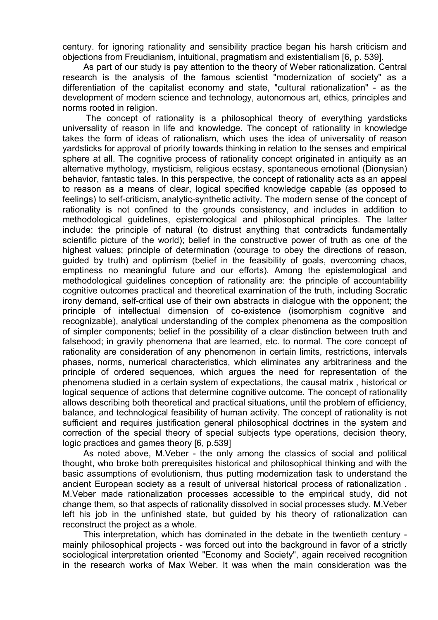century. for ignoring rationality and sensibility practice began his harsh criticism and objections from Freudianism, intuitional, pragmatism and existentialism [6, p. 539].

As part of our study is pay attention to the theory of Weber rationalization. Central research is the analysis of the famous scientist "modernization of society" as a differentiation of the capitalist economy and state, "cultural rationalization" - as the development of modern science and technology, autonomous art, ethics, principles and norms rooted in religion.

The concept of rationality is a philosophical theory of everything yardsticks universality of reason in life and knowledge. The concept of rationality in knowledge takes the form of ideas of rationalism, which uses the idea of universality of reason yardsticks for approval of priority towards thinking in relation to the senses and empirical sphere at all. The cognitive process of rationality concept originated in antiquity as an alternative mythology, mysticism, religious ecstasy, spontaneous emotional (Dionysian) behavior, fantastic tales. In this perspective, the concept of rationality acts as an appeal to reason as a means of clear, logical specified knowledge capable (as opposed to feelings) to self-criticism, analytic-synthetic activity. The modern sense of the concept of rationality is not confined to the grounds consistency, and includes in addition to methodological guidelines, epistemological and philosophical principles. The latter include: the principle of natural (to distrust anything that contradicts fundamentally scientific picture of the world); belief in the constructive power of truth as one of the highest values; principle of determination (courage to obey the directions of reason, guided by truth) and optimism (belief in the feasibility of goals, overcoming chaos, emptiness no meaningful future and our efforts). Among the epistemological and methodological guidelines conception of rationality are: the principle of accountability cognitive outcomes practical and theoretical examination of the truth, including Socratic irony demand, self-critical use of their own abstracts in dialogue with the opponent; the principle of intellectual dimension of co-existence (isomorphism cognitive and recognizable), analytical understanding of the complex phenomena as the composition of simpler components; belief in the possibility of a clear distinction between truth and falsehood; in gravity phenomena that are learned, etc. to normal. The core concept of rationality are consideration of any phenomenon in certain limits, restrictions, intervals phases, norms, numerical characteristics, which eliminates any arbitrariness and the principle of ordered sequences, which argues the need for representation of the phenomena studied in a certain system of expectations, the causal matrix , historical or logical sequence of actions that determine cognitive outcome. The concept of rationality allows describing both theoretical and practical situations, until the problem of efficiency, balance, and technological feasibility of human activity. The concept of rationality is not sufficient and requires justification general philosophical doctrines in the system and correction of the special theory of special subjects type operations, decision theory, logic practices and games theory [6, p.539]

As noted above, M.Veber - the only among the classics of social and political thought, who broke both prerequisites historical and philosophical thinking and with the basic assumptions of evolutionism, thus putting modernization task to understand the ancient European society as a result of universal historical process of rationalization . M.Veber made rationalization processes accessible to the empirical study, did not change them, so that aspects of rationality dissolved in social processes study. M.Veber left his job in the unfinished state, but guided by his theory of rationalization can reconstruct the project as a whole.

This interpretation, which has dominated in the debate in the twentieth century mainly philosophical projects - was forced out into the background in favor of a strictly sociological interpretation oriented "Economy and Society", again received recognition in the research works of Max Weber. It was when the main consideration was the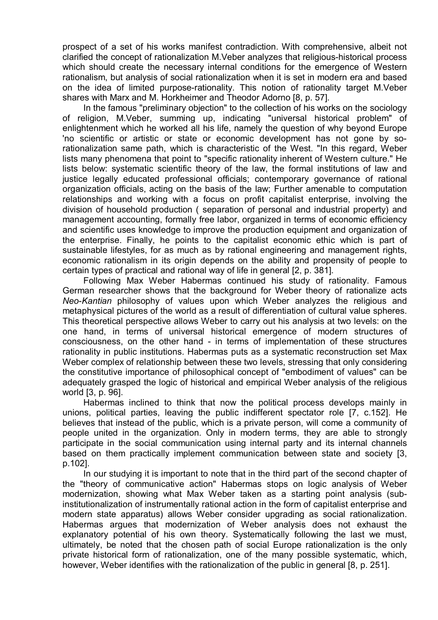prospect of a set of his works manifest contradiction. With comprehensive, albeit not clarified the concept of rationalization M.Veber analyzes that religious-historical process which should create the necessary internal conditions for the emergence of Western rationalism, but analysis of social rationalization when it is set in modern era and based on the idea of limited purpose-rationality. This notion of rationality target M.Veber shares with Marx and M. Horkheimer and Theodor Adorno [8, p. 57].

In the famous "preliminary objection" to the collection of his works on the sociology of religion, M.Veber, summing up, indicating "universal historical problem" of enlightenment which he worked all his life, namely the question of why beyond Europe 'no scientific or artistic or state or economic development has not gone by sorationalization same path, which is characteristic of the West. "In this regard, Weber lists many phenomena that point to "specific rationality inherent of Western culture." He lists below: systematic scientific theory of the law, the formal institutions of law and justice legally educated professional officials; contemporary governance of rational organization officials, acting on the basis of the law; Further amenable to computation relationships and working with a focus on profit capitalist enterprise, involving the division of household production ( separation of personal and industrial property) and management accounting, formally free labor, organized in terms of economic efficiency and scientific uses knowledge to improve the production equipment and organization of the enterprise. Finally, he points to the capitalist economic ethic which is part of sustainable lifestyles, for as much as by rational engineering and management rights, economic rationalism in its origin depends on the ability and propensity of people to certain types of practical and rational way of life in general [2, p. 381].

Following Max Weber Habermas continued his study of rationality. Famous German researcher shows that the background for Weber theory of rationalize acts *Neo*-*Kantian* philosophy of values upon which Weber analyzes the religious and metaphysical pictures of the world as a result of differentiation of cultural value spheres. This theoretical perspective allows Weber to carry out his analysis at two levels: on the one hand, in terms of universal historical emergence of modern structures of consciousness, on the other hand - in terms of implementation of these structures rationality in public institutions. Habermas puts as a systematic reconstruction set Max Weber complex of relationship between these two levels, stressing that only considering the constitutive importance of philosophical concept of "embodiment of values" can be adequately grasped the logic of historical and empirical Weber analysis of the religious world [3, p. 96].

Habermas inclined to think that now the political process develops mainly in unions, political parties, leaving the public indifferent spectator role [7, c.152]. He believes that instead of the public, which is a private person, will come a community of people united in the organization. Only in modern terms, they are able to strongly participate in the social communication using internal party and its internal channels based on them practically implement communication between state and society [3, p.102].

In our studying it is important to note that in the third part of the second chapter of the "theory of communicative action" Habermas stops on logic analysis of Weber modernization, showing what Max Weber taken as a starting point analysis (subinstitutionalization of instrumentally rational action in the form of capitalist enterprise and modern state apparatus) allows Weber consider upgrading as social rationalization. Habermas argues that modernization of Weber analysis does not exhaust the explanatory potential of his own theory. Systematically following the last we must, ultimately, be noted that the chosen path of social Europe rationalization is the only private historical form of rationalization, one of the many possible systematic, which, however, Weber identifies with the rationalization of the public in general [8, p. 251].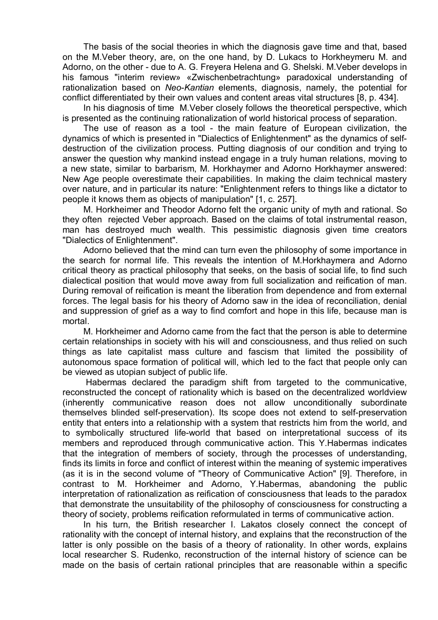The basis of the social theories in which the diagnosis gave time and that, based on the M.Veber theory, are, on the one hand, by D. Lukacs to Horkheymeru M. and Adorno, on the other - due to A. G. Freyera Helena and G. Shelski. M.Veber develops in his famous "interim review» «Zwischenbetrachtung» paradoxical understanding of rationalization based on *Neo*-*Kantian* elements, diagnosis, namely, the potential for conflict differentiated by their own values and content areas vital structures [8, p. 434].

In his diagnosis of time M. Veber closely follows the theoretical perspective, which is presented as the continuing rationalization of world historical process of separation.

The use of reason as a tool - the main feature of European civilization, the dynamics of which is presented in "Dialectics of Enlightenment" as the dynamics of selfdestruction of the civilization process. Putting diagnosis of our condition and trying to answer the question why mankind instead engage in a truly human relations, moving to a new state, similar to barbarism, M. Horkhaymer and Adorno Horkhaymer answered: New Age people overestimate their capabilities. In making the claim technical mastery over nature, and in particular its nature: "Enlightenment refers to things like a dictator to people it knows them as objects of manipulation" [1, c. 257].

M. Horkheimer and Theodor Adorno felt the organic unity of myth and rational. So they often rejected Veber approach. Based on the claims of total instrumental reason, man has destroyed much wealth. This pessimistic diagnosis given time creators "Dialectics of Enlightenment".

Adorno believed that the mind can turn even the philosophy of some importance in the search for normal life. This reveals the intention of M.Horkhaymera and Adorno critical theory as practical philosophy that seeks, on the basis of social life, to find such dialectical position that would move away from full socialization and reification of man. During removal of reification is meant the liberation from dependence and from external forces. The legal basis for his theory of Adorno saw in the idea of reconciliation, denial and suppression of grief as a way to find comfort and hope in this life, because man is mortal.

M. Horkheimer and Adorno came from the fact that the person is able to determine certain relationships in society with his will and consciousness, and thus relied on such things as late capitalist mass culture and fascism that limited the possibility of autonomous space formation of political will, which led to the fact that people only can be viewed as utopian subject of public life.

Habermas declared the paradigm shift from targeted to the communicative, reconstructed the concept of rationality which is based on the decentralized worldview (inherently communicative reason does not allow unconditionally subordinate themselves blinded self-preservation). Its scope does not extend to self-preservation entity that enters into a relationship with a system that restricts him from the world, and to symbolically structured life-world that based on interpretational success of its members and reproduced through communicative action. This Y.Habermas indicates that the integration of members of society, through the processes of understanding, finds its limits in force and conflict of interest within the meaning of systemic imperatives (as it is in the second volume of "Theory of Communicative Action" [9]. Therefore, in contrast to M. Horkheimer and Adorno, Y.Habermas, abandoning the public interpretation of rationalization as reification of consciousness that leads to the paradox that demonstrate the unsuitability of the philosophy of consciousness for constructing a theory of society, problems reification reformulated in terms of communicative action.

In his turn, the British researcher I. Lakatos closely connect the concept of rationality with the concept of internal history, and explains that the reconstruction of the latter is only possible on the basis of a theory of rationality. In other words, explains local researcher S. Rudenko, reconstruction of the internal history of science can be made on the basis of certain rational principles that are reasonable within a specific